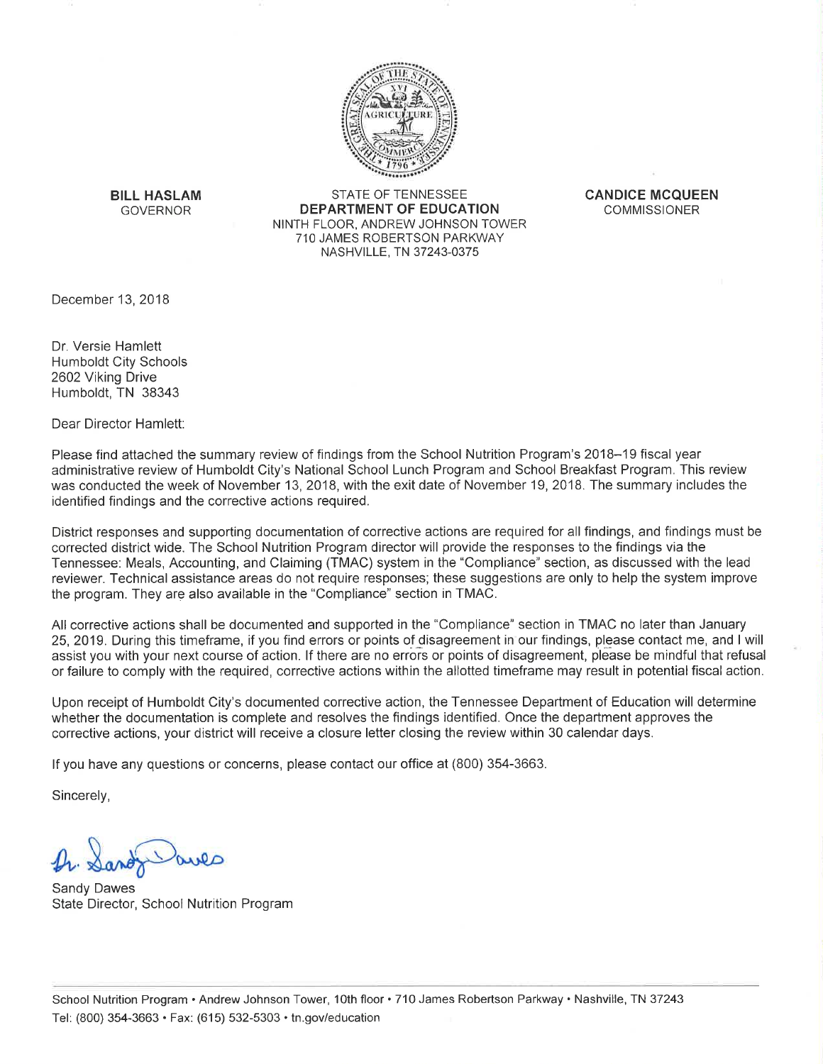

**BILL HASLAM GOVERNOR** 

STATE OF TENNESSEE **DEPARTMENT OF EDUCATION** NINTH FLOOR, ANDREW JOHNSON TOWER 710 JAMES ROBERTSON PARKWAY NASHVILLE, TN 37243-0375

**CANDICE MCQUEEN COMMISSIONER** 

December 13, 2018

Dr. Versie Hamlett **Humboldt City Schools** 2602 Viking Drive Humboldt, TN 38343

Dear Director Hamlett:

Please find attached the summary review of findings from the School Nutrition Program's 2018–19 fiscal year administrative review of Humboldt City's National School Lunch Program and School Breakfast Program. This review was conducted the week of November 13, 2018, with the exit date of November 19, 2018. The summary includes the identified findings and the corrective actions required.

District responses and supporting documentation of corrective actions are required for all findings, and findings must be corrected district wide. The School Nutrition Program director will provide the responses to the findings via the Tennessee: Meals, Accounting, and Claiming (TMAC) system in the "Compliance" section, as discussed with the lead reviewer. Technical assistance areas do not require responses; these suggestions are only to help the system improve the program. They are also available in the "Compliance" section in TMAC.

All corrective actions shall be documented and supported in the "Compliance" section in TMAC no later than January 25, 2019. During this timeframe, if you find errors or points of disagreement in our findings, please contact me, and I will assist you with your next course of action. If there are no errors or points of disagreement, please be mindful that refusal or failure to comply with the required, corrective actions within the allotted timeframe may result in potential fiscal action.

Upon receipt of Humboldt City's documented corrective action, the Tennessee Department of Education will determine whether the documentation is complete and resolves the findings identified. Once the department approves the corrective actions, your district will receive a closure letter closing the review within 30 calendar days.

If you have any questions or concerns, please contact our office at (800) 354-3663.

Sincerely,

**Sandy Dawes** State Director, School Nutrition Program